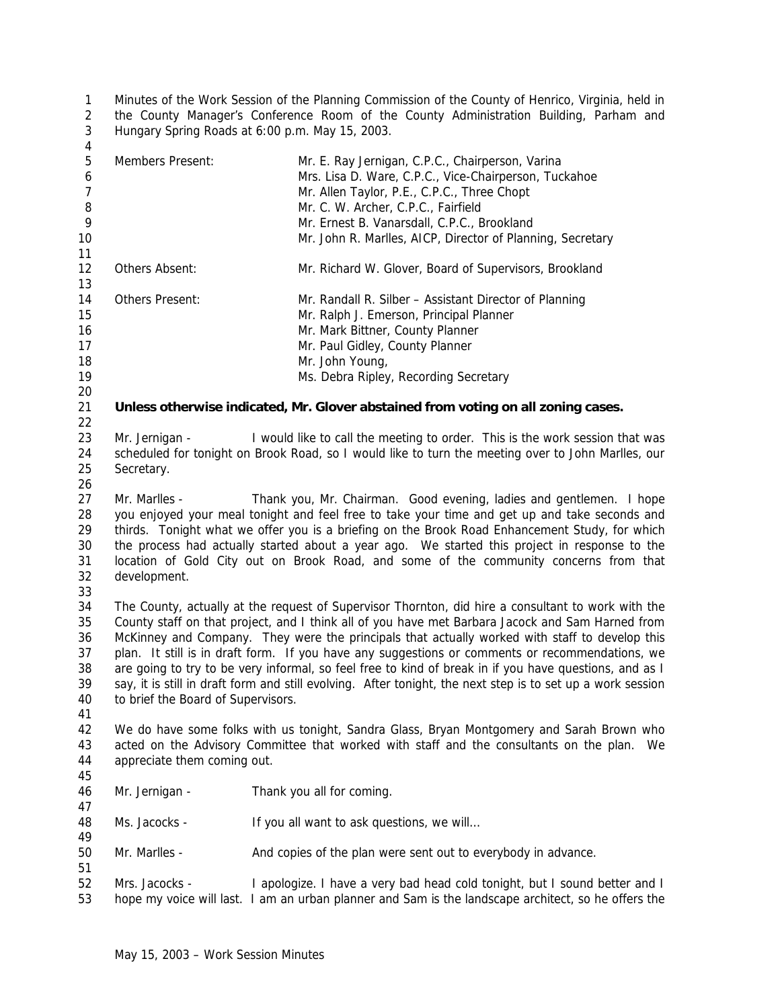Minutes of the Work Session of the Planning Commission of the County of Henrico, Virginia, held in the County Manager's Conference Room of the County Administration Building, Parham and Hungary Spring Roads at 6:00 p.m. May 15, 2003. 

| Members Present:                                                                                                                                                                                                                                                                                                                                                                                                                                                                                                                                                                                                                                                           | Mr. E. Ray Jernigan, C.P.C., Chairperson, Varina<br>Mrs. Lisa D. Ware, C.P.C., Vice-Chairperson, Tuckahoe<br>Mr. Allen Taylor, P.E., C.P.C., Three Chopt<br>Mr. C. W. Archer, C.P.C., Fairfield<br>Mr. Ernest B. Vanarsdall, C.P.C., Brookland<br>Mr. John R. Marlles, AICP, Director of Planning, Secretary |  |
|----------------------------------------------------------------------------------------------------------------------------------------------------------------------------------------------------------------------------------------------------------------------------------------------------------------------------------------------------------------------------------------------------------------------------------------------------------------------------------------------------------------------------------------------------------------------------------------------------------------------------------------------------------------------------|--------------------------------------------------------------------------------------------------------------------------------------------------------------------------------------------------------------------------------------------------------------------------------------------------------------|--|
| Others Absent:                                                                                                                                                                                                                                                                                                                                                                                                                                                                                                                                                                                                                                                             | Mr. Richard W. Glover, Board of Supervisors, Brookland                                                                                                                                                                                                                                                       |  |
| Others Present:                                                                                                                                                                                                                                                                                                                                                                                                                                                                                                                                                                                                                                                            | Mr. Randall R. Silber - Assistant Director of Planning<br>Mr. Ralph J. Emerson, Principal Planner<br>Mr. Mark Bittner, County Planner<br>Mr. Paul Gidley, County Planner<br>Mr. John Young,<br>Ms. Debra Ripley, Recording Secretary                                                                         |  |
|                                                                                                                                                                                                                                                                                                                                                                                                                                                                                                                                                                                                                                                                            | Unless otherwise indicated, Mr. Glover abstained from voting on all zoning cases.                                                                                                                                                                                                                            |  |
| Mr. Jernigan -<br>Secretary.                                                                                                                                                                                                                                                                                                                                                                                                                                                                                                                                                                                                                                               | I would like to call the meeting to order. This is the work session that was<br>scheduled for tonight on Brook Road, so I would like to turn the meeting over to John Marlles, our                                                                                                                           |  |
| Mr. Marlles -<br>Thank you, Mr. Chairman. Good evening, ladies and gentlemen. I hope<br>you enjoyed your meal tonight and feel free to take your time and get up and take seconds and<br>thirds. Tonight what we offer you is a briefing on the Brook Road Enhancement Study, for which<br>the process had actually started about a year ago. We started this project in response to the<br>location of Gold City out on Brook Road, and some of the community concerns from that<br>development.                                                                                                                                                                          |                                                                                                                                                                                                                                                                                                              |  |
| The County, actually at the request of Supervisor Thornton, did hire a consultant to work with the<br>County staff on that project, and I think all of you have met Barbara Jacock and Sam Harned from<br>McKinney and Company. They were the principals that actually worked with staff to develop this<br>plan. It still is in draft form. If you have any suggestions or comments or recommendations, we<br>are going to try to be very informal, so feel free to kind of break in if you have questions, and as I<br>say, it is still in draft form and still evolving. After tonight, the next step is to set up a work session<br>to brief the Board of Supervisors. |                                                                                                                                                                                                                                                                                                              |  |
| We do have some folks with us tonight, Sandra Glass, Bryan Montgomery and Sarah Brown who<br>acted on the Advisory Committee that worked with staff and the consultants on the plan.<br>We<br>appreciate them coming out.                                                                                                                                                                                                                                                                                                                                                                                                                                                  |                                                                                                                                                                                                                                                                                                              |  |
| Mr. Jernigan -                                                                                                                                                                                                                                                                                                                                                                                                                                                                                                                                                                                                                                                             | Thank you all for coming.                                                                                                                                                                                                                                                                                    |  |
| Ms. Jacocks -                                                                                                                                                                                                                                                                                                                                                                                                                                                                                                                                                                                                                                                              | If you all want to ask questions, we will                                                                                                                                                                                                                                                                    |  |
| Mr. Marlles -                                                                                                                                                                                                                                                                                                                                                                                                                                                                                                                                                                                                                                                              | And copies of the plan were sent out to everybody in advance.                                                                                                                                                                                                                                                |  |
| Mrs. Jacocks -                                                                                                                                                                                                                                                                                                                                                                                                                                                                                                                                                                                                                                                             | I apologize. I have a very bad head cold tonight, but I sound better and I<br>hope my voice will last. I am an urban planner and Sam is the landscape architect, so he offers the                                                                                                                            |  |
|                                                                                                                                                                                                                                                                                                                                                                                                                                                                                                                                                                                                                                                                            |                                                                                                                                                                                                                                                                                                              |  |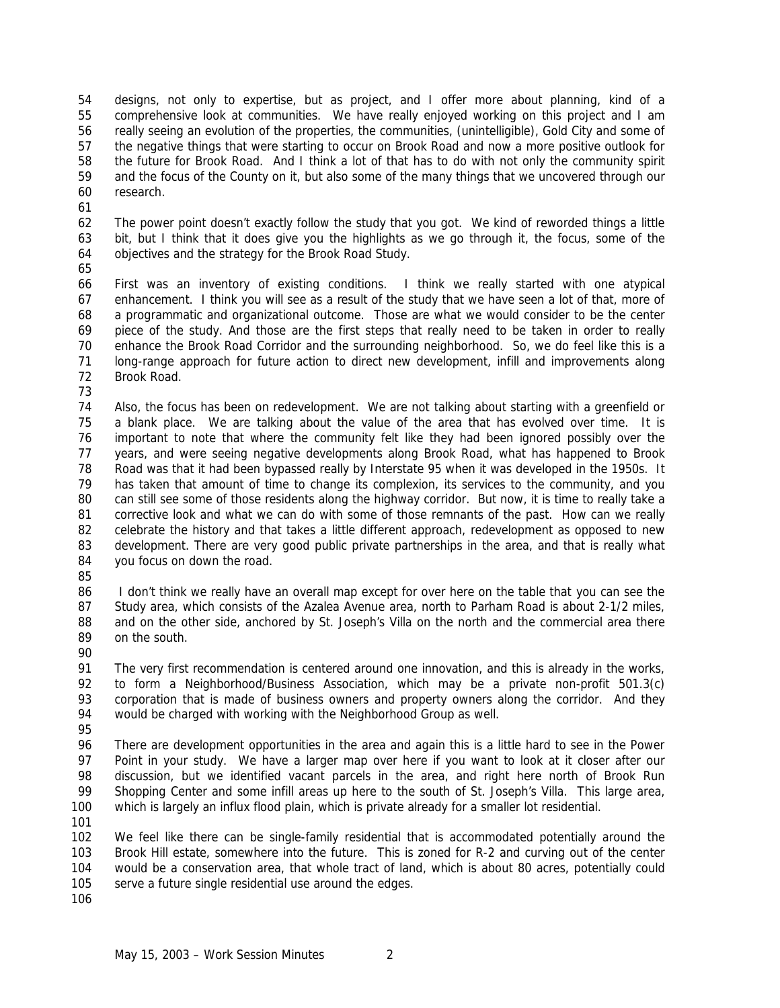designs, not only to expertise, but as project, and I offer more about planning, kind of a comprehensive look at communities. We have really enjoyed working on this project and I am really seeing an evolution of the properties, the communities, (unintelligible), Gold City and some of the negative things that were starting to occur on Brook Road and now a more positive outlook for the future for Brook Road. And I think a lot of that has to do with not only the community spirit and the focus of the County on it, but also some of the many things that we uncovered through our research.

 The power point doesn't exactly follow the study that you got. We kind of reworded things a little bit, but I think that it does give you the highlights as we go through it, the focus, some of the objectives and the strategy for the Brook Road Study.

 First was an inventory of existing conditions. I think we really started with one atypical enhancement. I think you will see as a result of the study that we have seen a lot of that, more of a programmatic and organizational outcome. Those are what we would consider to be the center piece of the study. And those are the first steps that really need to be taken in order to really enhance the Brook Road Corridor and the surrounding neighborhood. So, we do feel like this is a long-range approach for future action to direct new development, infill and improvements along Brook Road.

 Also, the focus has been on redevelopment. We are not talking about starting with a greenfield or a blank place. We are talking about the value of the area that has evolved over time. It is important to note that where the community felt like they had been ignored possibly over the years, and were seeing negative developments along Brook Road, what has happened to Brook Road was that it had been bypassed really by Interstate 95 when it was developed in the 1950s. It has taken that amount of time to change its complexion, its services to the community, and you can still see some of those residents along the highway corridor. But now, it is time to really take a corrective look and what we can do with some of those remnants of the past. How can we really celebrate the history and that takes a little different approach, redevelopment as opposed to new 83 development. There are very good public private partnerships in the area, and that is really what you focus on down the road.

86 I don't think we really have an overall map except for over here on the table that you can see the Study area, which consists of the Azalea Avenue area, north to Parham Road is about 2-1/2 miles, 88 and on the other side, anchored by St. Joseph's Villa on the north and the commercial area there on the south.

 The very first recommendation is centered around one innovation, and this is already in the works, to form a Neighborhood/Business Association, which may be a private non-profit 501.3(c) corporation that is made of business owners and property owners along the corridor. And they would be charged with working with the Neighborhood Group as well.

 There are development opportunities in the area and again this is a little hard to see in the Power Point in your study. We have a larger map over here if you want to look at it closer after our discussion, but we identified vacant parcels in the area, and right here north of Brook Run Shopping Center and some infill areas up here to the south of St. Joseph's Villa. This large area, which is largely an influx flood plain, which is private already for a smaller lot residential.

 We feel like there can be single-family residential that is accommodated potentially around the Brook Hill estate, somewhere into the future. This is zoned for R-2 and curving out of the center would be a conservation area, that whole tract of land, which is about 80 acres, potentially could serve a future single residential use around the edges.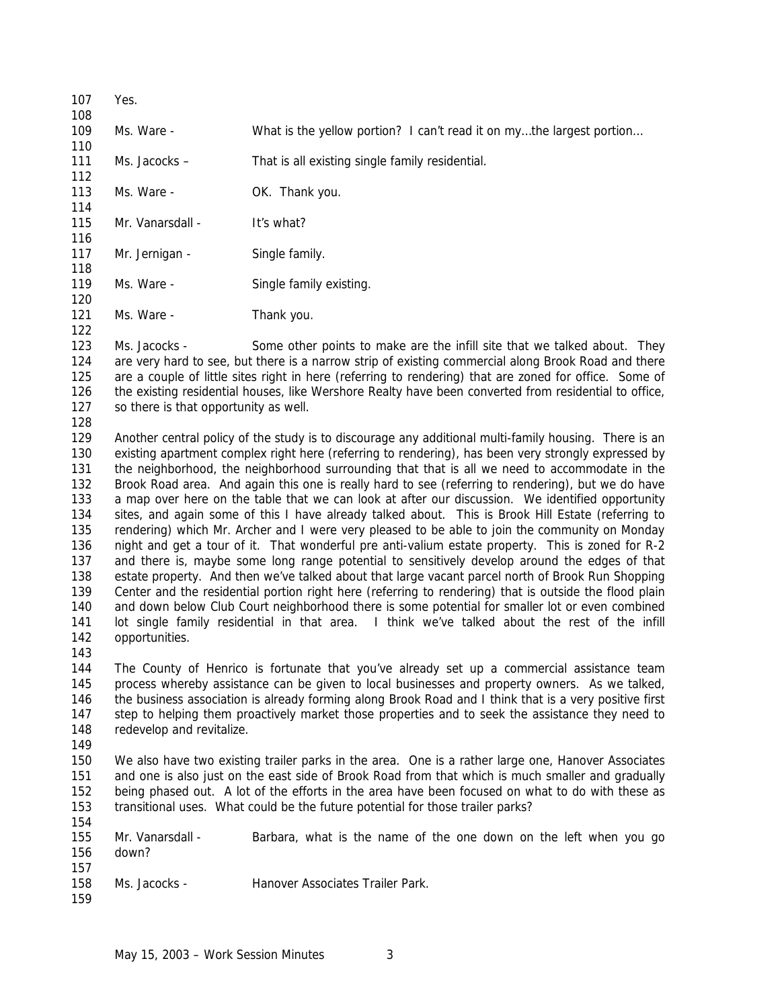109 Ms. Ware - What is the yellow portion? I can't read it on my...the largest portion... Ms. Jacocks – That is all existing single family residential. 113 Ms. Ware - **OK. Thank you.**  115 Mr. Vanarsdall - It's what? 117 Mr. Jernigan - Single family. 119 Ms. Ware - Single family existing. 121 Ms. Ware - Thank you. Ms. Jacocks - Some other points to make are the infill site that we talked about. They are very hard to see, but there is a narrow strip of existing commercial along Brook Road and there are a couple of little sites right in here (referring to rendering) that are zoned for office. Some of 126 the existing residential houses, like Wershore Realty have been converted from residential to office, 127 so there is that opportunity as well. Another central policy of the study is to discourage any additional multi-family housing. There is an existing apartment complex right here (referring to rendering), has been very strongly expressed by the neighborhood, the neighborhood surrounding that that is all we need to accommodate in the Brook Road area. And again this one is really hard to see (referring to rendering), but we do have a map over here on the table that we can look at after our discussion. We identified opportunity sites, and again some of this I have already talked about. This is Brook Hill Estate (referring to rendering) which Mr. Archer and I were very pleased to be able to join the community on Monday night and get a tour of it. That wonderful pre anti-valium estate property. This is zoned for R-2 and there is, maybe some long range potential to sensitively develop around the edges of that estate property. And then we've talked about that large vacant parcel north of Brook Run Shopping Center and the residential portion right here (referring to rendering) that is outside the flood plain and down below Club Court neighborhood there is some potential for smaller lot or even combined lot single family residential in that area. I think we've talked about the rest of the infill opportunities. The County of Henrico is fortunate that you've already set up a commercial assistance team process whereby assistance can be given to local businesses and property owners. As we talked, the business association is already forming along Brook Road and I think that is a very positive first 147 step to helping them proactively market those properties and to seek the assistance they need to 148 redevelop and revitalize. We also have two existing trailer parks in the area. One is a rather large one, Hanover Associates and one is also just on the east side of Brook Road from that which is much smaller and gradually being phased out. A lot of the efforts in the area have been focused on what to do with these as transitional uses. What could be the future potential for those trailer parks? Mr. Vanarsdall - Barbara, what is the name of the one down on the left when you go down? Ms. Jacocks - Hanover Associates Trailer Park. 

Yes.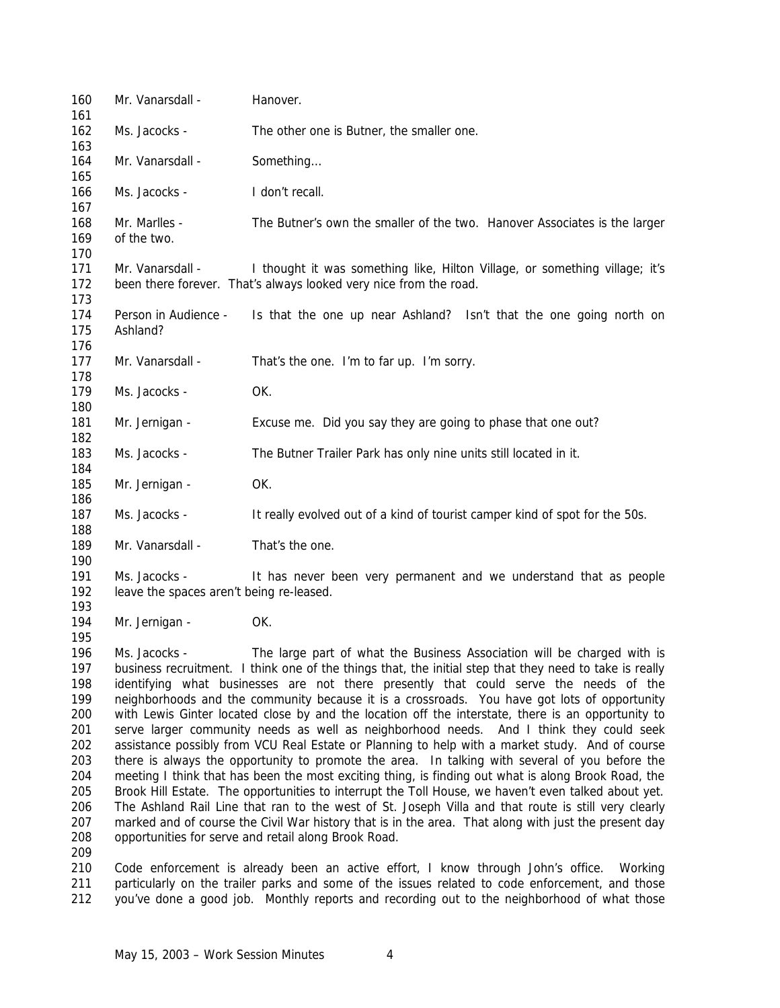| 160<br>161                                                                              | Mr. Vanarsdall -                                                                                                                                                                                                                                                                                                                                                                                                                                                                                                                                                                                                                                                                                                                                                                                                                                                                                                                                                                                                                                                                                                                                                                                                                                                                        | Hanover.                                                                                                                                         |
|-----------------------------------------------------------------------------------------|-----------------------------------------------------------------------------------------------------------------------------------------------------------------------------------------------------------------------------------------------------------------------------------------------------------------------------------------------------------------------------------------------------------------------------------------------------------------------------------------------------------------------------------------------------------------------------------------------------------------------------------------------------------------------------------------------------------------------------------------------------------------------------------------------------------------------------------------------------------------------------------------------------------------------------------------------------------------------------------------------------------------------------------------------------------------------------------------------------------------------------------------------------------------------------------------------------------------------------------------------------------------------------------------|--------------------------------------------------------------------------------------------------------------------------------------------------|
| 162<br>163                                                                              | Ms. Jacocks -                                                                                                                                                                                                                                                                                                                                                                                                                                                                                                                                                                                                                                                                                                                                                                                                                                                                                                                                                                                                                                                                                                                                                                                                                                                                           | The other one is Butner, the smaller one.                                                                                                        |
| 164<br>165                                                                              | Mr. Vanarsdall -                                                                                                                                                                                                                                                                                                                                                                                                                                                                                                                                                                                                                                                                                                                                                                                                                                                                                                                                                                                                                                                                                                                                                                                                                                                                        | Something                                                                                                                                        |
| 166<br>167                                                                              | Ms. Jacocks -                                                                                                                                                                                                                                                                                                                                                                                                                                                                                                                                                                                                                                                                                                                                                                                                                                                                                                                                                                                                                                                                                                                                                                                                                                                                           | I don't recall.                                                                                                                                  |
| 168<br>169                                                                              | Mr. Marlles -<br>of the two.                                                                                                                                                                                                                                                                                                                                                                                                                                                                                                                                                                                                                                                                                                                                                                                                                                                                                                                                                                                                                                                                                                                                                                                                                                                            | The Butner's own the smaller of the two. Hanover Associates is the larger                                                                        |
| 170<br>171<br>172<br>173                                                                | Mr. Vanarsdall -                                                                                                                                                                                                                                                                                                                                                                                                                                                                                                                                                                                                                                                                                                                                                                                                                                                                                                                                                                                                                                                                                                                                                                                                                                                                        | I thought it was something like, Hilton Village, or something village; it's<br>been there forever. That's always looked very nice from the road. |
| 174<br>175<br>176                                                                       | Person in Audience -<br>Ashland?                                                                                                                                                                                                                                                                                                                                                                                                                                                                                                                                                                                                                                                                                                                                                                                                                                                                                                                                                                                                                                                                                                                                                                                                                                                        | Is that the one up near Ashland? Isn't that the one going north on                                                                               |
| 177<br>178                                                                              | Mr. Vanarsdall -                                                                                                                                                                                                                                                                                                                                                                                                                                                                                                                                                                                                                                                                                                                                                                                                                                                                                                                                                                                                                                                                                                                                                                                                                                                                        | That's the one. I'm to far up. I'm sorry.                                                                                                        |
| 179<br>180                                                                              | Ms. Jacocks -                                                                                                                                                                                                                                                                                                                                                                                                                                                                                                                                                                                                                                                                                                                                                                                                                                                                                                                                                                                                                                                                                                                                                                                                                                                                           | OK.                                                                                                                                              |
| 181<br>182                                                                              | Mr. Jernigan -                                                                                                                                                                                                                                                                                                                                                                                                                                                                                                                                                                                                                                                                                                                                                                                                                                                                                                                                                                                                                                                                                                                                                                                                                                                                          | Excuse me. Did you say they are going to phase that one out?                                                                                     |
| 183<br>184                                                                              | Ms. Jacocks -                                                                                                                                                                                                                                                                                                                                                                                                                                                                                                                                                                                                                                                                                                                                                                                                                                                                                                                                                                                                                                                                                                                                                                                                                                                                           | The Butner Trailer Park has only nine units still located in it.                                                                                 |
| 185<br>186                                                                              | Mr. Jernigan -                                                                                                                                                                                                                                                                                                                                                                                                                                                                                                                                                                                                                                                                                                                                                                                                                                                                                                                                                                                                                                                                                                                                                                                                                                                                          | OK.                                                                                                                                              |
| 187<br>188                                                                              | Ms. Jacocks -                                                                                                                                                                                                                                                                                                                                                                                                                                                                                                                                                                                                                                                                                                                                                                                                                                                                                                                                                                                                                                                                                                                                                                                                                                                                           | It really evolved out of a kind of tourist camper kind of spot for the 50s.                                                                      |
| 189<br>190                                                                              | Mr. Vanarsdall -                                                                                                                                                                                                                                                                                                                                                                                                                                                                                                                                                                                                                                                                                                                                                                                                                                                                                                                                                                                                                                                                                                                                                                                                                                                                        | That's the one.                                                                                                                                  |
| 191<br>192<br>193                                                                       | Ms. Jacocks -<br>leave the spaces aren't being re-leased.                                                                                                                                                                                                                                                                                                                                                                                                                                                                                                                                                                                                                                                                                                                                                                                                                                                                                                                                                                                                                                                                                                                                                                                                                               | It has never been very permanent and we understand that as people                                                                                |
| 194<br>195                                                                              | Mr. Jernigan -                                                                                                                                                                                                                                                                                                                                                                                                                                                                                                                                                                                                                                                                                                                                                                                                                                                                                                                                                                                                                                                                                                                                                                                                                                                                          | OK.                                                                                                                                              |
| 196<br>197<br>198<br>199<br>200<br>201<br>202<br>203<br>204<br>205<br>206<br>207<br>208 | Ms. Jacocks -<br>The large part of what the Business Association will be charged with is<br>business recruitment. I think one of the things that, the initial step that they need to take is really<br>identifying what businesses are not there presently that could serve the needs of the<br>neighborhoods and the community because it is a crossroads. You have got lots of opportunity<br>with Lewis Ginter located close by and the location off the interstate, there is an opportunity to<br>serve larger community needs as well as neighborhood needs. And I think they could seek<br>assistance possibly from VCU Real Estate or Planning to help with a market study. And of course<br>there is always the opportunity to promote the area. In talking with several of you before the<br>meeting I think that has been the most exciting thing, is finding out what is along Brook Road, the<br>Brook Hill Estate. The opportunities to interrupt the Toll House, we haven't even talked about yet.<br>The Ashland Rail Line that ran to the west of St. Joseph Villa and that route is still very clearly<br>marked and of course the Civil War history that is in the area. That along with just the present day<br>opportunities for serve and retail along Brook Road. |                                                                                                                                                  |
| 209<br>210                                                                              |                                                                                                                                                                                                                                                                                                                                                                                                                                                                                                                                                                                                                                                                                                                                                                                                                                                                                                                                                                                                                                                                                                                                                                                                                                                                                         | Code enforcement is already been an active effort, I know through John's office.<br>Working                                                      |

 particularly on the trailer parks and some of the issues related to code enforcement, and those you've done a good job. Monthly reports and recording out to the neighborhood of what those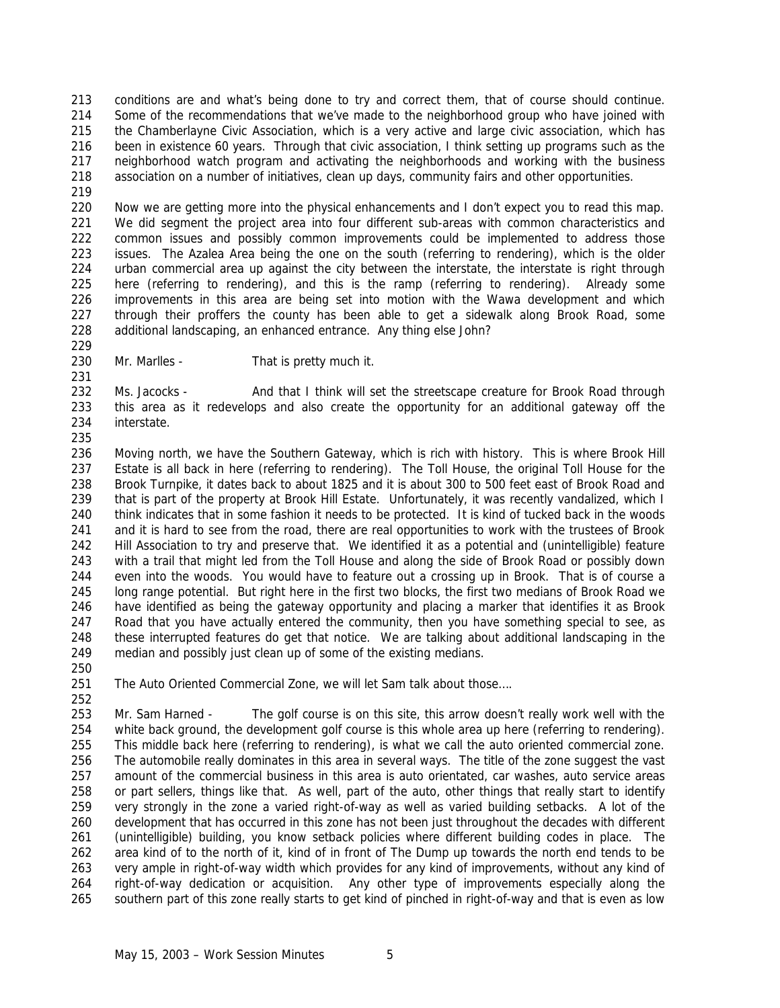conditions are and what's being done to try and correct them, that of course should continue. Some of the recommendations that we've made to the neighborhood group who have joined with the Chamberlayne Civic Association, which is a very active and large civic association, which has been in existence 60 years. Through that civic association, I think setting up programs such as the neighborhood watch program and activating the neighborhoods and working with the business association on a number of initiatives, clean up days, community fairs and other opportunities.

 Now we are getting more into the physical enhancements and I don't expect you to read this map. We did segment the project area into four different sub-areas with common characteristics and common issues and possibly common improvements could be implemented to address those issues. The Azalea Area being the one on the south (referring to rendering), which is the older urban commercial area up against the city between the interstate, the interstate is right through here (referring to rendering), and this is the ramp (referring to rendering). Already some improvements in this area are being set into motion with the Wawa development and which through their proffers the county has been able to get a sidewalk along Brook Road, some additional landscaping, an enhanced entrance. Any thing else John?

Mr. Marlles - That is pretty much it.

232 Ms. Jacocks - And that I think will set the streetscape creature for Brook Road through this area as it redevelops and also create the opportunity for an additional gateway off the interstate.

 Moving north, we have the Southern Gateway, which is rich with history. This is where Brook Hill Estate is all back in here (referring to rendering). The Toll House, the original Toll House for the Brook Turnpike, it dates back to about 1825 and it is about 300 to 500 feet east of Brook Road and that is part of the property at Brook Hill Estate. Unfortunately, it was recently vandalized, which I think indicates that in some fashion it needs to be protected. It is kind of tucked back in the woods and it is hard to see from the road, there are real opportunities to work with the trustees of Brook Hill Association to try and preserve that. We identified it as a potential and (unintelligible) feature with a trail that might led from the Toll House and along the side of Brook Road or possibly down even into the woods. You would have to feature out a crossing up in Brook. That is of course a long range potential. But right here in the first two blocks, the first two medians of Brook Road we have identified as being the gateway opportunity and placing a marker that identifies it as Brook Road that you have actually entered the community, then you have something special to see, as these interrupted features do get that notice. We are talking about additional landscaping in the median and possibly just clean up of some of the existing medians.

251 The Auto Oriented Commercial Zone, we will let Sam talk about those....

 Mr. Sam Harned - The golf course is on this site, this arrow doesn't really work well with the white back ground, the development golf course is this whole area up here (referring to rendering). This middle back here (referring to rendering), is what we call the auto oriented commercial zone. The automobile really dominates in this area in several ways. The title of the zone suggest the vast amount of the commercial business in this area is auto orientated, car washes, auto service areas or part sellers, things like that. As well, part of the auto, other things that really start to identify very strongly in the zone a varied right-of-way as well as varied building setbacks. A lot of the development that has occurred in this zone has not been just throughout the decades with different (unintelligible) building, you know setback policies where different building codes in place. The area kind of to the north of it, kind of in front of The Dump up towards the north end tends to be very ample in right-of-way width which provides for any kind of improvements, without any kind of right-of-way dedication or acquisition. Any other type of improvements especially along the southern part of this zone really starts to get kind of pinched in right-of-way and that is even as low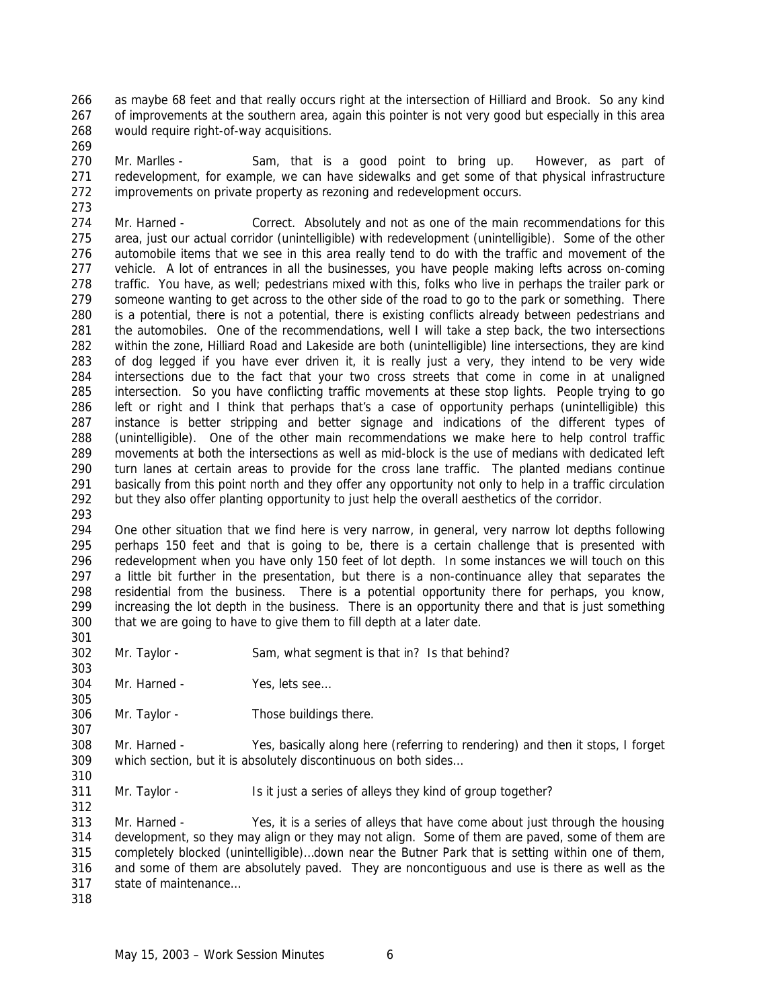as maybe 68 feet and that really occurs right at the intersection of Hilliard and Brook. So any kind of improvements at the southern area, again this pointer is not very good but especially in this area would require right-of-way acquisitions. 

270 Mr. Marlles - Sam, that is a good point to bring up. However, as part of redevelopment, for example, we can have sidewalks and get some of that physical infrastructure improvements on private property as rezoning and redevelopment occurs.

274 Mr. Harned - Correct. Absolutely and not as one of the main recommendations for this area, just our actual corridor (unintelligible) with redevelopment (unintelligible). Some of the other automobile items that we see in this area really tend to do with the traffic and movement of the vehicle. A lot of entrances in all the businesses, you have people making lefts across on-coming traffic. You have, as well; pedestrians mixed with this, folks who live in perhaps the trailer park or someone wanting to get across to the other side of the road to go to the park or something. There is a potential, there is not a potential, there is existing conflicts already between pedestrians and the automobiles. One of the recommendations, well I will take a step back, the two intersections within the zone, Hilliard Road and Lakeside are both (unintelligible) line intersections, they are kind of dog legged if you have ever driven it, it is really just a very, they intend to be very wide intersections due to the fact that your two cross streets that come in come in at unaligned intersection. So you have conflicting traffic movements at these stop lights. People trying to go left or right and I think that perhaps that's a case of opportunity perhaps (unintelligible) this instance is better stripping and better signage and indications of the different types of (unintelligible). One of the other main recommendations we make here to help control traffic movements at both the intersections as well as mid-block is the use of medians with dedicated left turn lanes at certain areas to provide for the cross lane traffic. The planted medians continue basically from this point north and they offer any opportunity not only to help in a traffic circulation but they also offer planting opportunity to just help the overall aesthetics of the corridor.

 One other situation that we find here is very narrow, in general, very narrow lot depths following perhaps 150 feet and that is going to be, there is a certain challenge that is presented with redevelopment when you have only 150 feet of lot depth. In some instances we will touch on this a little bit further in the presentation, but there is a non-continuance alley that separates the residential from the business. There is a potential opportunity there for perhaps, you know, increasing the lot depth in the business. There is an opportunity there and that is just something that we are going to have to give them to fill depth at a later date. 

- Mr. Taylor Sam, what segment is that in? Is that behind?
- Mr. Harned Yes, lets see…
- Mr. Taylor Those buildings there.

 Mr. Harned - Yes, basically along here (referring to rendering) and then it stops, I forget which section, but it is absolutely discontinuous on both sides…

311 Mr. Taylor - Is it just a series of alleys they kind of group together?

 Mr. Harned - Yes, it is a series of alleys that have come about just through the housing development, so they may align or they may not align. Some of them are paved, some of them are completely blocked (unintelligible)…down near the Butner Park that is setting within one of them, and some of them are absolutely paved. They are noncontiguous and use is there as well as the state of maintenance…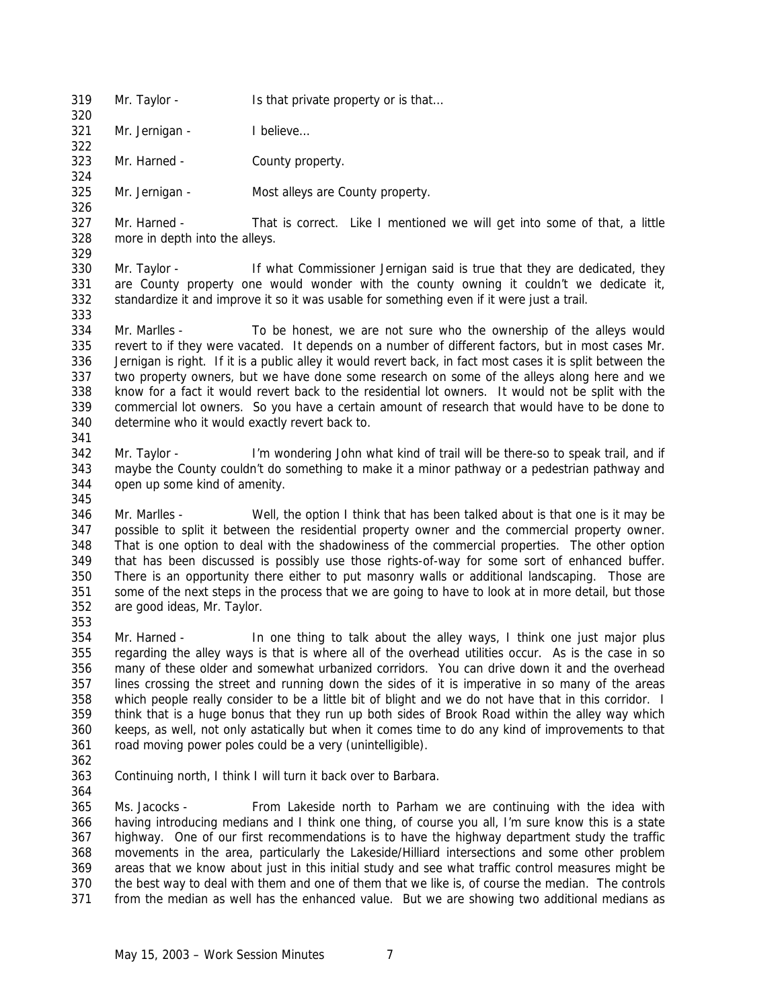Mr. Taylor - Is that private property or is that…

321 Mr. Jernigan - I believe...

- Mr. Harned County property.
- Mr. Jernigan Most alleys are County property.

 Mr. Harned - That is correct. Like I mentioned we will get into some of that, a little more in depth into the alleys. 

 Mr. Taylor - If what Commissioner Jernigan said is true that they are dedicated, they are County property one would wonder with the county owning it couldn't we dedicate it, standardize it and improve it so it was usable for something even if it were just a trail. 

 Mr. Marlles - To be honest, we are not sure who the ownership of the alleys would revert to if they were vacated. It depends on a number of different factors, but in most cases Mr. Jernigan is right. If it is a public alley it would revert back, in fact most cases it is split between the two property owners, but we have done some research on some of the alleys along here and we know for a fact it would revert back to the residential lot owners. It would not be split with the commercial lot owners. So you have a certain amount of research that would have to be done to determine who it would exactly revert back to.

- Mr. Taylor I'm wondering John what kind of trail will be there-so to speak trail, and if maybe the County couldn't do something to make it a minor pathway or a pedestrian pathway and open up some kind of amenity.
- Mr. Marlles Well, the option I think that has been talked about is that one is it may be possible to split it between the residential property owner and the commercial property owner. That is one option to deal with the shadowiness of the commercial properties. The other option that has been discussed is possibly use those rights-of-way for some sort of enhanced buffer. There is an opportunity there either to put masonry walls or additional landscaping. Those are some of the next steps in the process that we are going to have to look at in more detail, but those are good ideas, Mr. Taylor.

 Mr. Harned - In one thing to talk about the alley ways, I think one just major plus regarding the alley ways is that is where all of the overhead utilities occur. As is the case in so many of these older and somewhat urbanized corridors. You can drive down it and the overhead lines crossing the street and running down the sides of it is imperative in so many of the areas which people really consider to be a little bit of blight and we do not have that in this corridor. I think that is a huge bonus that they run up both sides of Brook Road within the alley way which keeps, as well, not only astatically but when it comes time to do any kind of improvements to that road moving power poles could be a very (unintelligible).

- 
- Continuing north, I think I will turn it back over to Barbara.

 Ms. Jacocks - From Lakeside north to Parham we are continuing with the idea with having introducing medians and I think one thing, of course you all, I'm sure know this is a state highway. One of our first recommendations is to have the highway department study the traffic movements in the area, particularly the Lakeside/Hilliard intersections and some other problem areas that we know about just in this initial study and see what traffic control measures might be the best way to deal with them and one of them that we like is, of course the median. The controls from the median as well has the enhanced value. But we are showing two additional medians as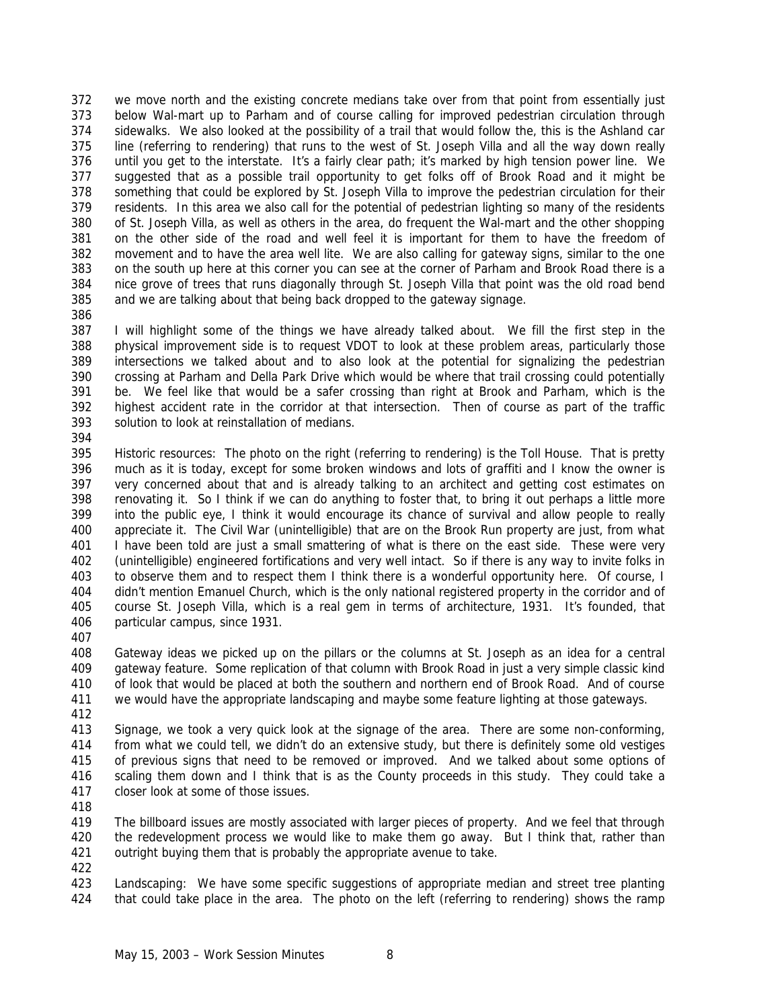we move north and the existing concrete medians take over from that point from essentially just below Wal-mart up to Parham and of course calling for improved pedestrian circulation through sidewalks. We also looked at the possibility of a trail that would follow the, this is the Ashland car line (referring to rendering) that runs to the west of St. Joseph Villa and all the way down really until you get to the interstate. It's a fairly clear path; it's marked by high tension power line. We suggested that as a possible trail opportunity to get folks off of Brook Road and it might be something that could be explored by St. Joseph Villa to improve the pedestrian circulation for their residents. In this area we also call for the potential of pedestrian lighting so many of the residents of St. Joseph Villa, as well as others in the area, do frequent the Wal-mart and the other shopping on the other side of the road and well feel it is important for them to have the freedom of movement and to have the area well lite. We are also calling for gateway signs, similar to the one on the south up here at this corner you can see at the corner of Parham and Brook Road there is a nice grove of trees that runs diagonally through St. Joseph Villa that point was the old road bend and we are talking about that being back dropped to the gateway signage.

 I will highlight some of the things we have already talked about. We fill the first step in the physical improvement side is to request VDOT to look at these problem areas, particularly those intersections we talked about and to also look at the potential for signalizing the pedestrian crossing at Parham and Della Park Drive which would be where that trail crossing could potentially be. We feel like that would be a safer crossing than right at Brook and Parham, which is the highest accident rate in the corridor at that intersection. Then of course as part of the traffic solution to look at reinstallation of medians.

 Historic resources: The photo on the right (referring to rendering) is the Toll House. That is pretty much as it is today, except for some broken windows and lots of graffiti and I know the owner is very concerned about that and is already talking to an architect and getting cost estimates on renovating it. So I think if we can do anything to foster that, to bring it out perhaps a little more into the public eye, I think it would encourage its chance of survival and allow people to really appreciate it. The Civil War (unintelligible) that are on the Brook Run property are just, from what 401 I have been told are just a small smattering of what is there on the east side. These were very (unintelligible) engineered fortifications and very well intact. So if there is any way to invite folks in to observe them and to respect them I think there is a wonderful opportunity here. Of course, I didn't mention Emanuel Church, which is the only national registered property in the corridor and of course St. Joseph Villa, which is a real gem in terms of architecture, 1931. It's founded, that particular campus, since 1931.

 Gateway ideas we picked up on the pillars or the columns at St. Joseph as an idea for a central gateway feature. Some replication of that column with Brook Road in just a very simple classic kind of look that would be placed at both the southern and northern end of Brook Road. And of course we would have the appropriate landscaping and maybe some feature lighting at those gateways.

 Signage, we took a very quick look at the signage of the area. There are some non-conforming, from what we could tell, we didn't do an extensive study, but there is definitely some old vestiges of previous signs that need to be removed or improved. And we talked about some options of scaling them down and I think that is as the County proceeds in this study. They could take a closer look at some of those issues.

 The billboard issues are mostly associated with larger pieces of property. And we feel that through the redevelopment process we would like to make them go away. But I think that, rather than outright buying them that is probably the appropriate avenue to take.

 Landscaping: We have some specific suggestions of appropriate median and street tree planting that could take place in the area. The photo on the left (referring to rendering) shows the ramp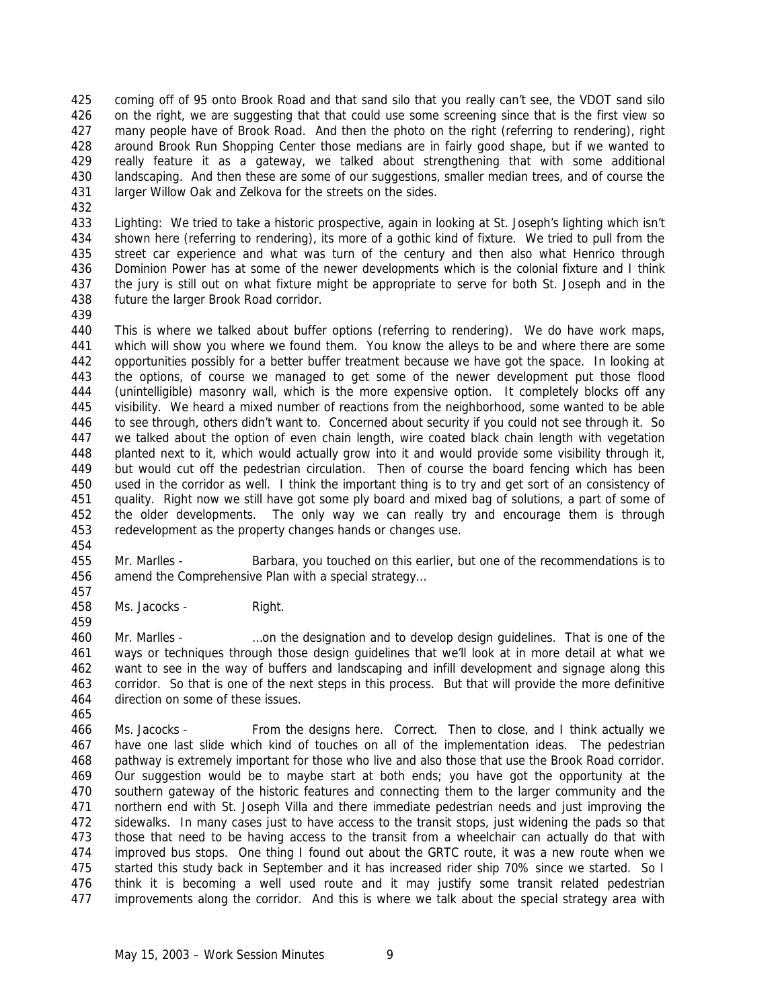coming off of 95 onto Brook Road and that sand silo that you really can't see, the VDOT sand silo on the right, we are suggesting that that could use some screening since that is the first view so many people have of Brook Road. And then the photo on the right (referring to rendering), right around Brook Run Shopping Center those medians are in fairly good shape, but if we wanted to really feature it as a gateway, we talked about strengthening that with some additional landscaping. And then these are some of our suggestions, smaller median trees, and of course the larger Willow Oak and Zelkova for the streets on the sides.

 Lighting: We tried to take a historic prospective, again in looking at St. Joseph's lighting which isn't shown here (referring to rendering), its more of a gothic kind of fixture. We tried to pull from the street car experience and what was turn of the century and then also what Henrico through Dominion Power has at some of the newer developments which is the colonial fixture and I think the jury is still out on what fixture might be appropriate to serve for both St. Joseph and in the future the larger Brook Road corridor.

 This is where we talked about buffer options (referring to rendering). We do have work maps, which will show you where we found them. You know the alleys to be and where there are some opportunities possibly for a better buffer treatment because we have got the space. In looking at the options, of course we managed to get some of the newer development put those flood (unintelligible) masonry wall, which is the more expensive option. It completely blocks off any visibility. We heard a mixed number of reactions from the neighborhood, some wanted to be able to see through, others didn't want to. Concerned about security if you could not see through it. So we talked about the option of even chain length, wire coated black chain length with vegetation planted next to it, which would actually grow into it and would provide some visibility through it, but would cut off the pedestrian circulation. Then of course the board fencing which has been used in the corridor as well. I think the important thing is to try and get sort of an consistency of quality. Right now we still have got some ply board and mixed bag of solutions, a part of some of the older developments. The only way we can really try and encourage them is through redevelopment as the property changes hands or changes use. 

 Mr. Marlles - Barbara, you touched on this earlier, but one of the recommendations is to amend the Comprehensive Plan with a special strategy…

Ms. Jacocks - Right.

 Mr. Marlles - …on the designation and to develop design guidelines. That is one of the ways or techniques through those design guidelines that we'll look at in more detail at what we want to see in the way of buffers and landscaping and infill development and signage along this corridor. So that is one of the next steps in this process. But that will provide the more definitive direction on some of these issues.

 Ms. Jacocks - From the designs here. Correct. Then to close, and I think actually we have one last slide which kind of touches on all of the implementation ideas. The pedestrian pathway is extremely important for those who live and also those that use the Brook Road corridor. Our suggestion would be to maybe start at both ends; you have got the opportunity at the southern gateway of the historic features and connecting them to the larger community and the northern end with St. Joseph Villa and there immediate pedestrian needs and just improving the sidewalks. In many cases just to have access to the transit stops, just widening the pads so that those that need to be having access to the transit from a wheelchair can actually do that with improved bus stops. One thing I found out about the GRTC route, it was a new route when we 475 started this study back in September and it has increased rider ship 70% since we started. So I think it is becoming a well used route and it may justify some transit related pedestrian improvements along the corridor. And this is where we talk about the special strategy area with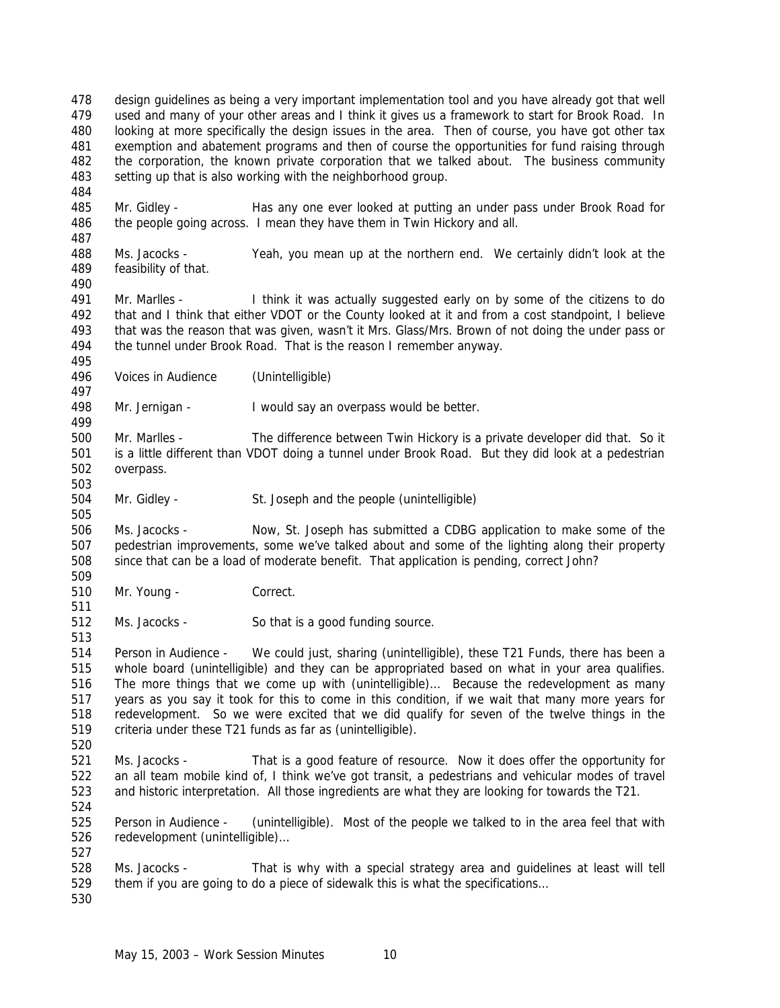design guidelines as being a very important implementation tool and you have already got that well used and many of your other areas and I think it gives us a framework to start for Brook Road. In looking at more specifically the design issues in the area. Then of course, you have got other tax exemption and abatement programs and then of course the opportunities for fund raising through the corporation, the known private corporation that we talked about. The business community setting up that is also working with the neighborhood group. 

 Mr. Gidley - Has any one ever looked at putting an under pass under Brook Road for the people going across. I mean they have them in Twin Hickory and all.

 Ms. Jacocks - Yeah, you mean up at the northern end. We certainly didn't look at the feasibility of that.

 Mr. Marlles - I think it was actually suggested early on by some of the citizens to do that and I think that either VDOT or the County looked at it and from a cost standpoint, I believe that was the reason that was given, wasn't it Mrs. Glass/Mrs. Brown of not doing the under pass or the tunnel under Brook Road. That is the reason I remember anyway.

Voices in Audience (Unintelligible)

Mr. Jernigan - I would say an overpass would be better.

 Mr. Marlles - The difference between Twin Hickory is a private developer did that. So it is a little different than VDOT doing a tunnel under Brook Road. But they did look at a pedestrian overpass.

Mr. Gidley - St. Joseph and the people (unintelligible)

 Ms. Jacocks - Now, St. Joseph has submitted a CDBG application to make some of the pedestrian improvements, some we've talked about and some of the lighting along their property since that can be a load of moderate benefit. That application is pending, correct John? 

- Mr. Young Correct.
- Ms. Jacocks So that is a good funding source.

 Person in Audience - We could just, sharing (unintelligible), these T21 Funds, there has been a whole board (unintelligible) and they can be appropriated based on what in your area qualifies. The more things that we come up with (unintelligible)… Because the redevelopment as many years as you say it took for this to come in this condition, if we wait that many more years for redevelopment. So we were excited that we did qualify for seven of the twelve things in the criteria under these T21 funds as far as (unintelligible). 

- Ms. Jacocks That is a good feature of resource. Now it does offer the opportunity for an all team mobile kind of, I think we've got transit, a pedestrians and vehicular modes of travel and historic interpretation. All those ingredients are what they are looking for towards the T21.
- 

 Person in Audience - (unintelligible). Most of the people we talked to in the area feel that with redevelopment (unintelligible)… 

 Ms. Jacocks - That is why with a special strategy area and guidelines at least will tell them if you are going to do a piece of sidewalk this is what the specifications…

May 15, 2003 – Work Session Minutes 10